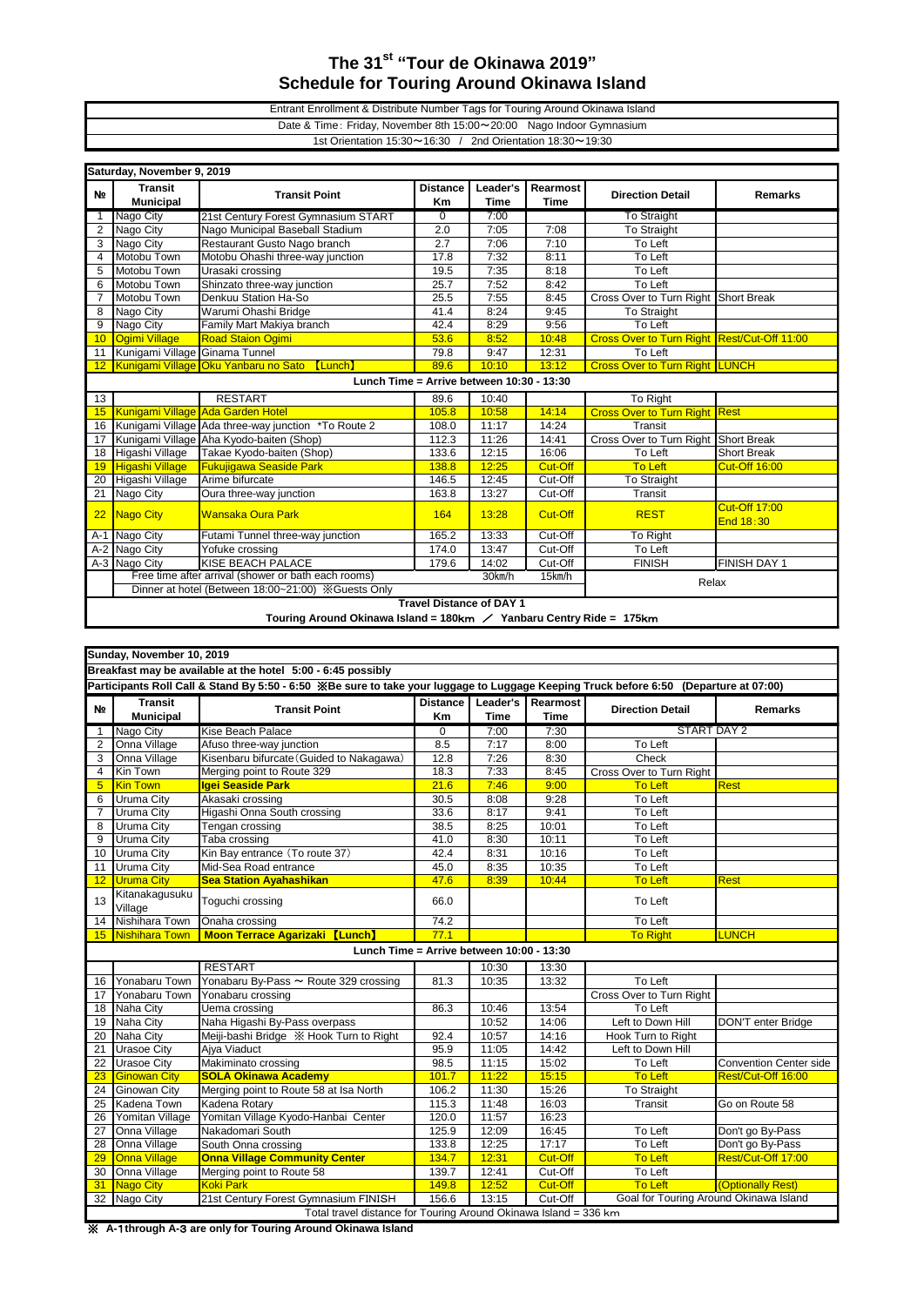## **The 31st "Tour de Okinawa 2019" Schedule for Touring Around Okinawa Island**

## 1st Orientation 15:30~16:30 / 2nd Orientation 18:30~19:30 Entrant Enrollment & Distribute Number Tags for Touring Around Okinawa Island Date & Time: Friday, November 8th 15:00~20:00 Nago Indoor Gymnasium

| Saturday, November 9, 2019                  |                                                                                                                                                                                                                                                                                                                               |                                                        |                 |             |                |                                             |                      |  |  |  |  |
|---------------------------------------------|-------------------------------------------------------------------------------------------------------------------------------------------------------------------------------------------------------------------------------------------------------------------------------------------------------------------------------|--------------------------------------------------------|-----------------|-------------|----------------|---------------------------------------------|----------------------|--|--|--|--|
| N <sub>2</sub>                              | <b>Transit</b>                                                                                                                                                                                                                                                                                                                | <b>Transit Point</b>                                   | <b>Distance</b> | Leader's    | Rearmost       | <b>Direction Detail</b>                     | <b>Remarks</b>       |  |  |  |  |
|                                             | <b>Municipal</b>                                                                                                                                                                                                                                                                                                              |                                                        | Km              | <b>Time</b> | <b>Time</b>    |                                             |                      |  |  |  |  |
| -1                                          | Nago City                                                                                                                                                                                                                                                                                                                     | 21st Century Forest Gymnasium START                    | $\overline{0}$  | 7:00        |                | To Straight                                 |                      |  |  |  |  |
| $\overline{2}$                              | Nago City                                                                                                                                                                                                                                                                                                                     | Nago Municipal Baseball Stadium                        | 2.0             | 7:05        | 7:08           | <b>To Straight</b>                          |                      |  |  |  |  |
| 3                                           | Nago City                                                                                                                                                                                                                                                                                                                     | Restaurant Gusto Nago branch                           | 2.7             | 7:06        | 7:10           | To Left                                     |                      |  |  |  |  |
| $\overline{4}$                              | Motobu Town                                                                                                                                                                                                                                                                                                                   | Motobu Ohashi three-way junction                       | 17.8            | 7:32        | 8:11           | To Left                                     |                      |  |  |  |  |
| 5                                           | Motobu Town                                                                                                                                                                                                                                                                                                                   | Urasaki crossing                                       | 19.5            | 7:35        | 8:18           | To Left                                     |                      |  |  |  |  |
| 6                                           | Motobu Town                                                                                                                                                                                                                                                                                                                   | Shinzato three-way junction                            | 25.7            | 7:52        | 8:42           | To Left                                     |                      |  |  |  |  |
| $\overline{7}$                              | Motobu Town                                                                                                                                                                                                                                                                                                                   | Denkuu Station Ha-So                                   | 25.5            | 7:55        | 8:45           | Cross Over to Turn Right Short Break        |                      |  |  |  |  |
| 8                                           | Nago City                                                                                                                                                                                                                                                                                                                     | Warumi Ohashi Bridge                                   | 41.4            | 8:24        | 9:45           | <b>To Straight</b>                          |                      |  |  |  |  |
| 9                                           | Nago City                                                                                                                                                                                                                                                                                                                     | Family Mart Makiya branch                              | 42.4            | 8:29        | 9:56           | To Left                                     |                      |  |  |  |  |
| 10                                          | Ogimi Village                                                                                                                                                                                                                                                                                                                 | <b>Road Staion Ogimi</b>                               | 53.6            | 8:52        | 10:48          | Cross Over to Turn Right Rest/Cut-Off 11:00 |                      |  |  |  |  |
| 11                                          | Kunigami Village Ginama Tunnel                                                                                                                                                                                                                                                                                                |                                                        | 79.8            | 9:47        | 12:31          | To Left                                     |                      |  |  |  |  |
|                                             |                                                                                                                                                                                                                                                                                                                               | Kunigami Village Oku Yanbaru no Sato<br><b>[Lunch]</b> | 89.6            | 10:10       | 13:12          | <b>Cross Over to Turn Right LUNCH</b>       |                      |  |  |  |  |
| Lunch Time = Arrive between $10:30 - 13:30$ |                                                                                                                                                                                                                                                                                                                               |                                                        |                 |             |                |                                             |                      |  |  |  |  |
| 13                                          |                                                                                                                                                                                                                                                                                                                               | <b>RESTART</b>                                         | 89.6            | 10:40       |                | To Right                                    |                      |  |  |  |  |
| 15                                          |                                                                                                                                                                                                                                                                                                                               | Kunigami Village Ada Garden Hotel                      | 105.8           | 10:58       | 14:14          | <b>Cross Over to Turn Right Rest</b>        |                      |  |  |  |  |
| 16                                          |                                                                                                                                                                                                                                                                                                                               | Kunigami Village Ada three-way junction *To Route 2    | 108.0           | 11:17       | 14:24          | Transit                                     |                      |  |  |  |  |
| 17                                          |                                                                                                                                                                                                                                                                                                                               | Kunigami Village Aha Kyodo-baiten (Shop)               | 112.3           | 11:26       | 14:41          | Cross Over to Turn Right                    | <b>Short Break</b>   |  |  |  |  |
| 18                                          | Higashi Village                                                                                                                                                                                                                                                                                                               | Takae Kyodo-baiten (Shop)                              | 133.6           | 12:15       | 16:06          | To Left                                     | <b>Short Break</b>   |  |  |  |  |
| 19                                          | <b>Higashi Village</b>                                                                                                                                                                                                                                                                                                        | <b>Fukujigawa Seaside Park</b>                         | 138.8           | 12:25       | Cut-Off        | <b>To Left</b>                              | <b>Cut-Off 16:00</b> |  |  |  |  |
| 20                                          | Higashi Village                                                                                                                                                                                                                                                                                                               | Arime bifurcate                                        | 146.5           | 12:45       | Cut-Off        | <b>To Straight</b>                          |                      |  |  |  |  |
| 21                                          | Nago City                                                                                                                                                                                                                                                                                                                     | Oura three-way junction                                | 163.8           | 13:27       | Cut-Off        | Transit                                     |                      |  |  |  |  |
|                                             |                                                                                                                                                                                                                                                                                                                               | <b>Wansaka Oura Park</b>                               |                 |             |                | <b>REST</b>                                 | <b>Cut-Off 17:00</b> |  |  |  |  |
| 22                                          | <b>Nago City</b>                                                                                                                                                                                                                                                                                                              |                                                        | 164             | 13:28       | <b>Cut-Off</b> |                                             | End 18:30            |  |  |  |  |
| $A-1$                                       | Nago City                                                                                                                                                                                                                                                                                                                     | Futami Tunnel three-way junction                       | 165.2           | 13:33       | Cut-Off        | To Right                                    |                      |  |  |  |  |
| $A-2$                                       | Nago City                                                                                                                                                                                                                                                                                                                     | Yofuke crossing                                        | 174.0           | 13:47       | Cut-Off        | To Left                                     |                      |  |  |  |  |
|                                             | A-3 Nago City                                                                                                                                                                                                                                                                                                                 | <b>KISE BEACH PALACE</b>                               | 179.6           | 14:02       | Cut-Off        | <b>FINISH</b>                               | <b>FINISH DAY 1</b>  |  |  |  |  |
|                                             |                                                                                                                                                                                                                                                                                                                               | Free time after arrival (shower or bath each rooms)    | Relax           |             |                |                                             |                      |  |  |  |  |
|                                             |                                                                                                                                                                                                                                                                                                                               | Dinner at hotel (Between 18:00~21:00) ※ Guests Only    |                 |             |                |                                             |                      |  |  |  |  |
| <b>Travel Distance of DAY 1</b>             |                                                                                                                                                                                                                                                                                                                               |                                                        |                 |             |                |                                             |                      |  |  |  |  |
|                                             | $T_{\text{c}}$ and $\alpha$ and $\alpha$ and $\alpha$ and $\alpha$ and $\alpha$ and $\alpha$ and $\alpha$ and $\alpha$ and $\alpha$ and $\alpha$ and $\alpha$ and $\alpha$ and $\alpha$ and $\alpha$ and $\alpha$ and $\alpha$ and $\alpha$ and $\alpha$ and $\alpha$ and $\alpha$ and $\alpha$ and $\alpha$ and $\alpha$ and |                                                        |                 |             |                |                                             |                      |  |  |  |  |

**Touring Around Okinawa Island = 180**km / **Yanbaru Centry Ride = 175**km

| Sunday, November 10, 2019                                    |                                    |                                                                  |                       |                         |                         |                                        |                               |  |  |  |  |
|--------------------------------------------------------------|------------------------------------|------------------------------------------------------------------|-----------------------|-------------------------|-------------------------|----------------------------------------|-------------------------------|--|--|--|--|
| Breakfast may be available at the hotel 5:00 - 6:45 possibly |                                    |                                                                  |                       |                         |                         |                                        |                               |  |  |  |  |
|                                                              |                                    |                                                                  |                       |                         |                         |                                        |                               |  |  |  |  |
| N <sub>2</sub>                                               | <b>Transit</b><br><b>Municipal</b> | <b>Transit Point</b>                                             | <b>Distance</b><br>Km | Leader's<br><b>Time</b> | Rearmost<br><b>Time</b> | <b>Direction Detail</b>                | <b>Remarks</b>                |  |  |  |  |
| 1                                                            | Nago City                          | Kise Beach Palace                                                | $\overline{0}$        | 7:00                    | 7:30                    | START DAY 2                            |                               |  |  |  |  |
| $\overline{2}$                                               | Onna Village                       | Afuso three-way junction                                         | 8.5                   | 7:17                    | 8:00                    | To Left                                |                               |  |  |  |  |
| 3                                                            | Onna Village                       | Kisenbaru bifurcate (Guided to Nakagawa)                         | 12.8                  | 7:26                    | 8:30                    | Check                                  |                               |  |  |  |  |
| $\overline{4}$                                               | Kin Town                           | Merging point to Route 329                                       | 18.3                  | 7:33                    | 8:45                    | Cross Over to Turn Right               |                               |  |  |  |  |
| 5                                                            | <b>Kin Town</b>                    | Igei Seaside Park                                                | 21.6                  | 7:46                    | 9:00                    | <b>To Left</b>                         | Rest                          |  |  |  |  |
| 6                                                            | Uruma City                         | Akasaki crossing                                                 | 30.5                  | 8:08                    | 9:28                    | To Left                                |                               |  |  |  |  |
| $\overline{7}$                                               | Uruma City                         | Higashi Onna South crossing                                      | 33.6                  | 8:17                    | 9:41                    | To Left                                |                               |  |  |  |  |
| 8                                                            | Uruma City                         | Tengan crossing                                                  | 38.5                  | 8:25                    | 10:01                   | To Left                                |                               |  |  |  |  |
| 9                                                            | Uruma City                         | Taba crossing                                                    | 41.0                  | 8:30                    | 10:11                   | To Left                                |                               |  |  |  |  |
| 10                                                           | Uruma City                         | Kin Bay entrance (To route 37)                                   | 42.4                  | 8:31                    | 10:16                   | To Left                                |                               |  |  |  |  |
| 11                                                           | Uruma City                         | Mid-Sea Road entrance                                            | 45.0                  | 8:35                    | 10:35                   | To Left                                |                               |  |  |  |  |
| 12                                                           | <b>Uruma City</b>                  | <b>Sea Station Ayahashikan</b>                                   | 47.6                  | 8:39                    | 10:44                   | <b>To Left</b>                         | Rest                          |  |  |  |  |
| 13                                                           | Kitanakagusuku<br>Village          | Toguchi crossing                                                 | 66.0                  |                         |                         | To Left                                |                               |  |  |  |  |
| 14                                                           | Nishihara Town                     | Onaha crossing                                                   | 74.2                  |                         |                         | To Left                                |                               |  |  |  |  |
|                                                              | 15 Nishihara Town                  | <b>Moon Terrace Agarizaki 【Lunch】</b>                            | 77.1                  |                         |                         | <b>To Right</b>                        | <b>LUNCH</b>                  |  |  |  |  |
| Lunch Time = Arrive between $10:00 - 13:30$                  |                                    |                                                                  |                       |                         |                         |                                        |                               |  |  |  |  |
|                                                              |                                    | <b>RESTART</b>                                                   |                       | 10:30                   | 13:30                   |                                        |                               |  |  |  |  |
| 16                                                           | Yonabaru Town                      | Yonabaru By-Pass ~ Route 329 crossing                            | 81.3                  | 10:35                   | 13:32                   | To Left                                |                               |  |  |  |  |
| 17                                                           | Yonabaru Town                      | Yonabaru crossing                                                |                       |                         |                         | Cross Over to Turn Right               |                               |  |  |  |  |
| 18                                                           | Naha City                          | Uema crossing                                                    | 86.3                  | 10:46                   | 13:54                   | To Left                                |                               |  |  |  |  |
| 19                                                           | Naha City                          | Naha Higashi By-Pass overpass                                    |                       | 10:52                   | 14:06                   | Left to Down Hill                      | <b>DON'T enter Bridge</b>     |  |  |  |  |
| 20                                                           | Naha City                          | Meiji-bashi Bridge ※ Hook Turn to Right                          | 92.4                  | 10:57                   | 14:16                   | Hook Turn to Right                     |                               |  |  |  |  |
| 21                                                           | <b>Urasoe City</b>                 | Aiya Viaduct                                                     | 95.9                  | 11:05                   | 14:42                   | Left to Down Hill                      |                               |  |  |  |  |
| 22                                                           | <b>Urasoe City</b>                 | Makiminato crossing                                              | 98.5                  | 11:15                   | 15:02                   | To Left                                | <b>Convention Center side</b> |  |  |  |  |
| 23                                                           | <b>Ginowan City</b>                | <b>SOLA Okinawa Academy</b>                                      | 101.7                 | 11:22                   | 15:15                   | <b>To Left</b>                         | Rest/Cut-Off 16:00            |  |  |  |  |
| 24                                                           | <b>Ginowan City</b>                | Merging point to Route 58 at Isa North                           | 106.2                 | 11:30                   | 15:26                   | To Straight                            |                               |  |  |  |  |
| 25                                                           | Kadena Town                        | Kadena Rotarv                                                    | 115.3                 | 11:48                   | 16:03                   | Transit                                | Go on Route 58                |  |  |  |  |
| 26                                                           | Yomitan Village                    | Yomitan Village Kyodo-Hanbai Center                              | 120.0                 | 11:57                   | 16:23                   |                                        |                               |  |  |  |  |
| 27                                                           | Onna Village                       | Nakadomari South                                                 | 125.9                 | 12:09                   | 16:45                   | To Left                                | Don't go By-Pass              |  |  |  |  |
| 28                                                           | Onna Village                       | South Onna crossing                                              | 133.8                 | 12:25                   | 17:17                   | To Left                                | Don't go By-Pass              |  |  |  |  |
| 29                                                           | <b>Onna Village</b>                | <b>Onna Village Community Center</b>                             | 134.7                 | 12:31                   | Cut-Off                 | <b>To Left</b>                         | Rest/Cut-Off 17:00            |  |  |  |  |
| 30                                                           | Onna Village                       | Merging point to Route 58                                        | 139.7                 | 12:41                   | Cut-Off                 | To Left                                |                               |  |  |  |  |
| 31                                                           | <b>Nago City</b>                   | <b>Koki Park</b>                                                 | 149.8                 | 12:52                   | Cut-Off                 | <b>To Left</b>                         | (Optionally Rest)             |  |  |  |  |
| 32                                                           | Nago City                          | 21st Century Forest Gymnasium FINISH                             | 156.6                 | 13:15                   | Cut-Off                 | Goal for Touring Around Okinawa Island |                               |  |  |  |  |
|                                                              |                                    | Total travel distance for Touring Around Okinawa Island = 336 km |                       |                         |                         |                                        |                               |  |  |  |  |

※ **A-**1**through A-**3 **are only for Touring Around Okinawa Island**